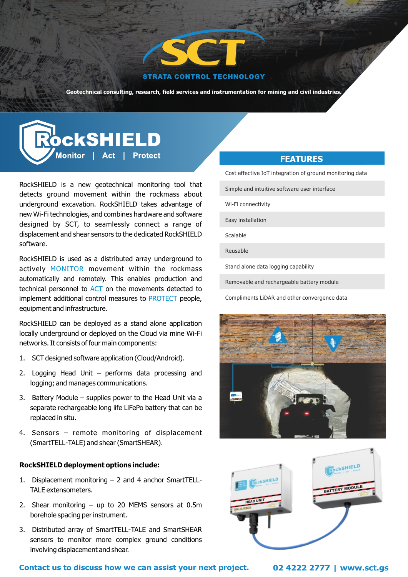

#### **STRATA CONTROL TECHNOLOGY**

**Geotechnical consulting, research, field services and instrumentation for mining and civil industries.**

# **OckSHIELD** |<br>Monitor | Act | Protect

RockSHIELD is a new geotechnical monitoring tool that detects ground movement within the rockmass about underground excavation. RockSHIELD takes advantage of new Wi-Fi technologies, and combines hardware and software designed by SCT, to seamlessly connect a range of displacement and shear sensors to the dedicated RockSHIELD software.

RockSHIELD is used as a distributed array underground to actively MONITOR movement within the rockmass automatically and remotely. This enables production and technical personnel to ACT on the movements detected to implement additional control measures to PROTECT people, equipment and infrastructure.

RockSHIELD can be deployed as a stand alone application locally underground or deployed on the Cloud via mine Wi-Fi networks. It consists of four main components:

- 1. SCT designed software application (Cloud/Android).
- 2. Logging Head Unit performs data processing and logging; and manages communications.
- 3. Battery Module supplies power to the Head Unit via a separate rechargeable long life LiFePo battery that can be replaced in situ.
- 4. Sensors remote monitoring of displacement (SmartTELL-TALE) and shear (SmartSHEAR).

### **RockSHIELD deployment options include:**

- 1. Displacement monitoring 2 and 4 anchor SmartTELL-TALE extensometers.
- 2. Shear monitoring up to 20 MEMS sensors at 0.5m borehole spacing per instrument.
- 3. Distributed array of SmartTELL-TALE and SmartSHEAR sensors to monitor more complex ground conditions involving displacement and shear.

# **FEATURES**

Cost effective IoT integration of ground monitoring data

Simple and intuitive software user interface

Wi-Fi connectivity

Easy installation

Scalable

Reusable

Stand alone data logging capability

Removable and rechargeable battery module

Compliments LiDAR and other convergence data





**Contact us to discuss how we can assist your next project. 02 4222 2777 | www.sct.gs**